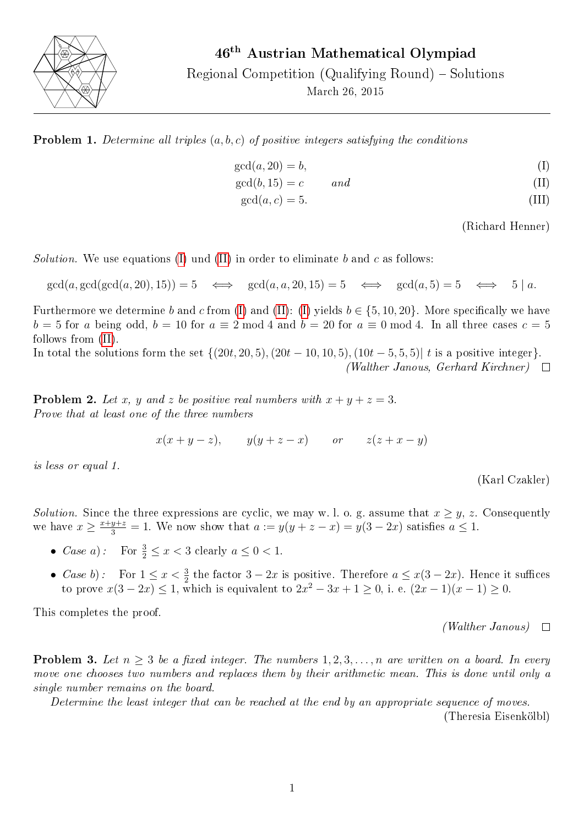

Regional Competition (Qualifying Round) – Solutions

March 26, 2015

**Problem 1.** Determine all triples  $(a, b, c)$  of positive integers satisfying the conditions

$$
\gcd(a, 20) = b,\tag{I}
$$

 $gcd(b, 15) = c$  and (II)

 $gcd(a, c) = 5.$  (III)

<span id="page-0-1"></span><span id="page-0-0"></span>(Richard Henner)

Solution. We use equations [\(I\)](#page-0-0) und [\(II\)](#page-0-1) in order to eliminate b and c as follows:

 $gcd(a, gcd(gcd(a, 20), 15)) = 5 \iff gcd(a, a, 20, 15) = 5 \iff gcd(a, 5) = 5 \iff 5 \mid a$ .

Furthermore we determine b and c from [\(I\)](#page-0-0) and [\(II\)](#page-0-1): (I) yields  $b \in \{5, 10, 20\}$ . More specifically we have  $b = 5$  for a being odd,  $b = 10$  for  $a \equiv 2 \mod 4$  and  $b = 20$  for  $a \equiv 0 \mod 4$ . In all three cases  $c = 5$ follows from [\(II\)](#page-0-1).

In total the solutions form the set  $\{(20t, 20, 5), (20t - 10, 10, 5), (10t - 5, 5, 5) | t \text{ is a positive integer}\}.$ (Walther Janous, Gerhard Kirchner)  $\Box$ 

**Problem 2.** Let x, y and z be positive real numbers with  $x + y + z = 3$ . Prove that at least one of the three numbers

 $x(x+y-z)$ ,  $y(y+z-x)$  or  $z(z+x-y)$ 

is less or equal 1.

(Karl Czakler)

Solution. Since the three expressions are cyclic, we may w. l. o. g. assume that  $x \geq y$ , z. Consequently we have  $x \ge \frac{x+y+z}{3} = 1$ . We now show that  $a := y(y+z-x) = y(3-2x)$  satisfies  $a \le 1$ .

- Case a): For  $\frac{3}{2} \leq x < 3$  clearly  $a \leq 0 < 1$ .
- Case b): For  $1 \le x < \frac{3}{2}$  the factor  $3 2x$  is positive. Therefore  $a \le x(3 2x)$ . Hence it suffices to prove  $x(3-2x) \le 1$ , which is equivalent to  $2x^2 - 3x + 1 \ge 0$ , i. e.  $(2x - 1)(x - 1) \ge 0$ .

This completes the proof.

 $(Wather\ Janous)$   $\Box$ 

**Problem 3.** Let  $n \geq 3$  be a fixed integer. The numbers  $1, 2, 3, \ldots, n$  are written on a board. In every move one chooses two numbers and replaces them by their arithmetic mean. This is done until only a single number remains on the board.

Determine the least integer that can be reached at the end by an appropriate sequence of moves. (Theresia Eisenkölbl)